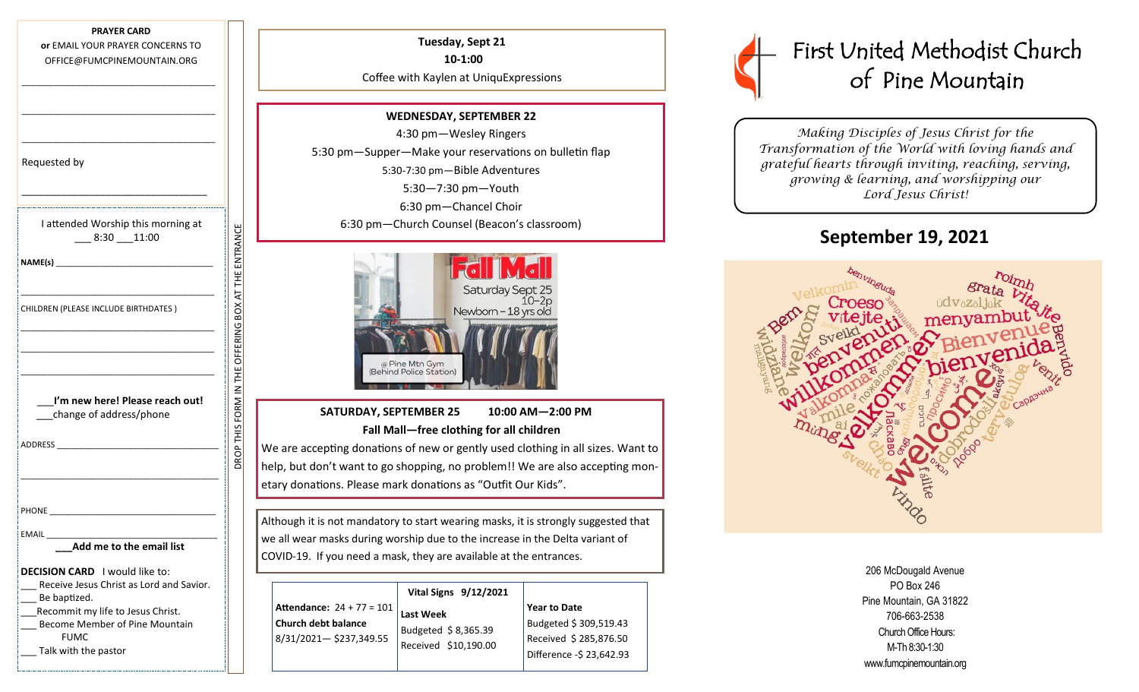| <b>PRAYER CARD</b>               |  |  |  |
|----------------------------------|--|--|--|
| or EMAIL YOUR PRAYER CONCERNS TO |  |  |  |
| OFFICE@FUMCPINEMOUNTAIN.ORG      |  |  |  |

\_\_\_\_\_\_\_\_\_\_\_\_\_\_\_\_\_\_\_\_\_\_\_\_\_\_\_\_\_\_\_\_\_\_\_\_\_\_\_\_\_\_\_

\_\_\_\_\_\_\_\_\_\_\_\_\_\_\_\_\_\_\_\_\_\_\_\_\_\_\_\_\_\_\_\_\_\_\_\_\_\_\_\_\_\_\_

| Requested by                                                                                                                                                                                                                   |
|--------------------------------------------------------------------------------------------------------------------------------------------------------------------------------------------------------------------------------|
|                                                                                                                                                                                                                                |
| I attended Worship this morning at<br>$-8:30 - 11:00$                                                                                                                                                                          |
| NAME(s)                                                                                                                                                                                                                        |
| CHILDREN (PLEASE INCLUDE BIRTHDATES)                                                                                                                                                                                           |
|                                                                                                                                                                                                                                |
|                                                                                                                                                                                                                                |
| I'm new here! Please reach out!<br>change of address/phone                                                                                                                                                                     |
| ADDRESS AND THE STATE OF THE STATE OF THE STATE OF THE STATE OF THE STATE OF THE STATE OF THE STATE OF THE STATE OF THE STATE OF THE STATE OF THE STATE OF THE STATE OF THE STATE OF THE STATE OF THE STATE OF THE STATE OF TH |
|                                                                                                                                                                                                                                |
|                                                                                                                                                                                                                                |
|                                                                                                                                                                                                                                |
| EMAIL                                                                                                                                                                                                                          |
| Add me to the email list                                                                                                                                                                                                       |
| <b>DECISION CARD</b> I would like to:<br>__ Receive Jesus Christ as Lord and Savior.<br>__ Be baptized.<br>Recommit my life to Jesus Christ.                                                                                   |
| __ Become Member of Pine Mountain<br><b>EUMC</b>                                                                                                                                                                               |

DROP THIS FORM IN THE OFFERING BOX AT THE ENTRANCE

DROP THIS FORM IN THE OFFERING BOX AT THE ENTRANCE

Talk with the pastor

**Tuesday, Sept 21 10-1:00** Coffee with Kaylen at UniquExpressions **WEDNESDAY, SEPTEMBER 22** 4:30 pm—Wesley Ringers 5:30 pm—Supper—Make your reservations on bulletin flap 5:30-7:30 pm—Bible Adventures 5:30—7:30 pm—Youth 6:30 pm—Chancel Choir

6:30 pm—Church Counsel (Beacon's classroom)



 **SATURDAY, SEPTEMBER 25 10:00 AM—2:00 PM Fall Mall—free clothing for all children**

We are accepting donations of new or gently used clothing in all sizes. Want to help, but don't want to go shopping, no problem!! We are also accepting monetary donations. Please mark donations as "Outfit Our Kids".

Although it is not mandatory to start wearing masks, it is strongly suggested that we all wear masks during worship due to the increase in the Delta variant of COVID-19. If you need a mask, they are available at the entrances.

|                                               | Vital Signs 9/12/2021                                           |                                                                             |  |  |  |
|-----------------------------------------------|-----------------------------------------------------------------|-----------------------------------------------------------------------------|--|--|--|
| <b>Attendance: 24 + 77 = 101</b>              | <b>Last Week</b><br>Budgeted \$8,365.39<br>Received \$10,190.00 | <b>Year to Date</b>                                                         |  |  |  |
| Church debt balance<br>8/31/2021-\$237,349.55 |                                                                 | Budgeted \$ 309,519.43<br>Received \$285,876.50<br>Difference -\$ 23,642.93 |  |  |  |
|                                               |                                                                 |                                                                             |  |  |  |

# First United Methodist Church of Pine Mountain

*Making Disciples of Jesus Christ for the Transformation of the World with loving hands and grateful hearts through inviting, reaching, serving, growing & learning, and worshipping our Lord Jesus Christ!* 

### **September 19, 2021**



| 206 McDougald Avenue     |
|--------------------------|
| PO Box 246               |
| Pine Mountain, GA 31822  |
| 706-663-2538             |
| Church Office Hours:     |
| M-Th 8:30-1:30           |
| www.fumcpinemountain.org |